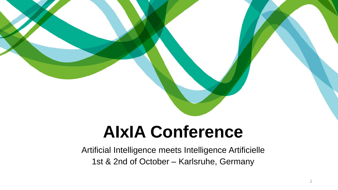

# **AIxIA Conference**

Artificial Intelligence meets Intelligence Artificielle 1st & 2nd of October – Karlsruhe, Germany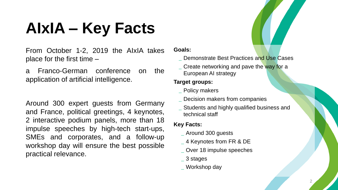## **AIxIA – Key Facts**

From October 1-2, 2019 the AIxIA takes place for the first time –

a Franco-German conference on the application of artificial intelligence.

Around 300 expert guests from Germany and France, political greetings, 4 keynotes, 2 interactive podium panels, more than 18 impulse speeches by high-tech start-ups, SMEs and corporates, and a follow-up workshop day will ensure the best possible practical relevance.

#### **Goals:**

**\_** Demonstrate Best Practices and Use Cases

**\_** Create networking and pave the way for a European AI strategy

#### **Target groups:**

- **\_** Policy makers
- **\_** Decision makers from companies
- **\_** Students and highly qualified business and technical staff

#### **Key Facts:**

- **\_** Around 300 guests
- **\_** 4 Keynotes from FR & DE
- **\_** Over 18 impulse speeches
- **\_** 3 stages
- **\_** Workshop day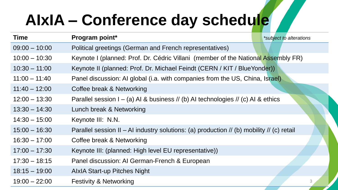## **AIxIA – Conference day schedule**

| <b>Time</b>     | Program point*                                                                            | *subject to alterations |
|-----------------|-------------------------------------------------------------------------------------------|-------------------------|
| $09:00 - 10:00$ | Political greetings (German and French representatives)                                   |                         |
| $10:00 - 10:30$ | Keynote I (planned: Prof. Dr. Cédric Villani (member of the National Assembly FR)         |                         |
| $10:30 - 11:00$ | Keynote II (planned: Prof. Dr. Michael Feindt (CERN / KIT / BlueYonder))                  |                         |
| $11:00 - 11:40$ | Panel discussion: AI global (i.a. with companies from the US, China, Israel)              |                         |
| $11:40 - 12:00$ | Coffee break & Networking                                                                 |                         |
| $12:00 - 13:30$ | Parallel session $I - (a)$ Al & business // (b) Al technologies // (c) Al & ethics        |                         |
| $13:30 - 14:30$ | Lunch break & Networking                                                                  |                         |
| $14:30 - 15:00$ | Keynote III: N.N.                                                                         |                         |
| $15:00 - 16:30$ | Parallel session II - AI industry solutions: (a) production // (b) mobility // (c) retail |                         |
| $16:30 - 17:00$ | Coffee break & Networking                                                                 |                         |
| $17:00 - 17:30$ | Keynote III: (planned: High level EU representative))                                     |                         |
| $17:30 - 18:15$ | Panel discussion: AI German-French & European                                             |                         |
| $18:15 - 19:00$ | <b>AlxIA Start-up Pitches Night</b>                                                       |                         |
| $19:00 - 22:00$ | <b>Festivity &amp; Networking</b>                                                         | 3                       |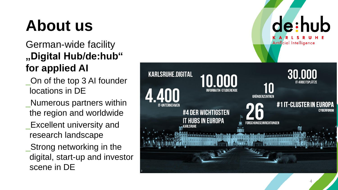## **About us**

### German -wide facility **"Digital Hub/de:hub" for applied AI**

- \_On of the top 3 AI founder locations in DE
- \_Numerous partners within the region and worldwide
- \_Excellent university and research landscape
- \_Strong networking in the digital, start -up and investor scene in DE

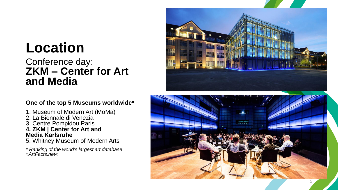### **Location**

### Conference day : **ZKM – Center for Art and Media**

#### **One of the top 5 Museums worldwide \***

- 1. Museum of Modern Art (MoMa )
- 2. La Biennale di Venezia
- 3. Centre Pompidou Paris **4. ZKM | Center for Art and**
- **Media Karlsruhe** 5. Whitney Museum of Modern Arts
- *\* Ranking of the world's largest art database »ArtFacts.net«*

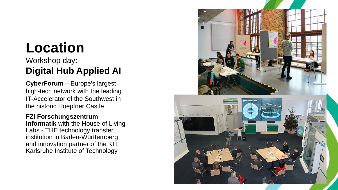### **Location**

### Workshop day : **Digital Hub Applied AI**

**CyberForum**  – Europe's largest high -tech network with the leading IT -Accelerator of the Southwest in the historic Hoepfner Castle

#### **FZI Forschungszentrum**

**Informatik** with the House of Living Labs - THE technology transfer institution in Baden -Württemberg and innovation partner of the KIT Karlsruhe Institute of Technology